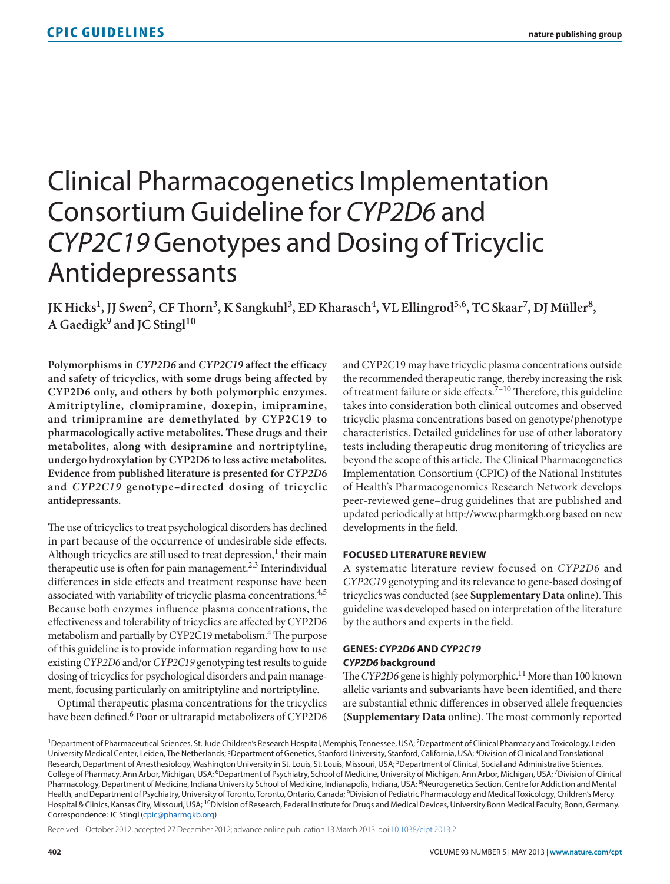# Clinical Pharmacogenetics Implementation Consortium Guideline for *CYP2D6* and *CYP2C19* Genotypes and Dosing of Tricyclic Antidepressants

**JK Hicks1, JJ Swen2, CF Thorn3, K Sangkuhl3, ED Kharasch4, VL Ellingrod5,6, TC Skaar7, DJ Müller8, A Gaedigk9 and JC Stingl10**

**Polymorphisms in** *CYP2D6* **and** *CYP2C19* **affect the efficacy and safety of tricyclics, with some drugs being affected by CYP2D6 only, and others by both polymorphic enzymes. Amitriptyline, clomipramine, doxepin, imipramine, and trimipramine are demethylated by CYP2C19 to pharmacologically active metabolites. These drugs and their metabolites, along with desipramine and nortriptyline, undergo hydroxylation by CYP2D6 to less active metabolites. Evidence from published literature is presented for** *CYP2D6* **and** *CYP2C19* **genotype–directed dosing of tricyclic antidepressants.**

The use of tricyclics to treat psychological disorders has declined in part because of the occurrence of undesirable side effects. Although tricyclics are still used to treat depression, $<sup>1</sup>$  their main</sup> therapeutic use is often for pain management. $2,3$  Interindividual differences in side effects and treatment response have been associated with variability of tricyclic plasma concentrations.4,5 Because both enzymes influence plasma concentrations, the effectiveness and tolerability of tricyclics are affected by CYP2D6 metabolism and partially by CYP2C19 metabolism.<sup>4</sup> The purpose of this guideline is to provide information regarding how to use existing *CYP2D6* and/or *CYP2C19* genotyping test results to guide dosing of tricyclics for psychological disorders and pain management, focusing particularly on amitriptyline and nortriptyline.

Optimal therapeutic plasma concentrations for the tricyclics have been defined.<sup>6</sup> Poor or ultrarapid metabolizers of CYP2D6 and CYP2C19 may have tricyclic plasma concentrations outside the recommended therapeutic range, thereby increasing the risk of treatment failure or side effects.<sup> $7-10$ </sup> Therefore, this guideline takes into consideration both clinical outcomes and observed tricyclic plasma concentrations based on genotype/phenotype characteristics. Detailed guidelines for use of other laboratory tests including therapeutic drug monitoring of tricyclics are beyond the scope of this article. The Clinical Pharmacogenetics Implementation Consortium (CPIC) of the National Institutes of Health's Pharmacogenomics Research Network develops peer-reviewed gene–drug guidelines that are published and updated periodically at http://www.pharmgkb.org based on new developments in the field.

## **FOCUSED LITERATURE REVIEW**

A systematic literature review focused on *CYP2D6* and *CYP2C19* genotyping and its relevance to gene-based dosing of tricyclics was conducted (see **Supplementary Data** online). This guideline was developed based on interpretation of the literature by the authors and experts in the field.

# **GENES:** *CYP2D6* **AND** *CYP2C19 CYP2D6* **background**

The *CYP2D6* gene is highly polymorphic.<sup>11</sup> More than 100 known allelic variants and subvariants have been identified, and there are substantial ethnic differences in observed allele frequencies (**Supplementary Data** online). The most commonly reported

Received 1 October 2012; accepted 27 December 2012; advance online publication 13 March 2013. doi[:10.1038/clpt.2013.2](http://www.nature.com/doifinder/10.1038/clpt.2013.2)

<sup>&</sup>lt;sup>1</sup>Department of Pharmaceutical Sciences, St. Jude Children's Research Hospital, Memphis, Tennessee, USA; <sup>2</sup>Department of Clinical Pharmacy and Toxicology, Leiden University Medical Center, Leiden, The Netherlands; <sup>3</sup>Department of Genetics, Stanford University, Stanford, California, USA; <sup>4</sup>Division of Clinical and Translational Research, Department of Anesthesiology, Washington University in St. Louis, St. Louis, Missouri, USA; <sup>5</sup>Department of Clinical, Social and Administrative Sciences, College of Pharmacy, Ann Arbor, Michigan, USA; <sup>6</sup>Department of Psychiatry, School of Medicine, University of Michigan, Ann Arbor, Michigan, USA; <sup>7</sup>Division of Clinical Pharmacology, Department of Medicine, Indiana University School of Medicine, Indianapolis, Indiana, USA; <sup>8</sup>Neurogenetics Section, Centre for Addiction and Mental Health, and Department of Psychiatry, University of Toronto, Toronto, Ontario, Canada; 9Division of Pediatric Pharmacology and Medical Toxicology, Children's Mercy Hospital & Clinics, Kansas City, Missouri, USA; <sup>10</sup>Division of Research, Federal Institute for Drugs and Medical Devices, University Bonn Medical Faculty, Bonn, Germany. Correspondence: JC Stingl ([cpic@pharmgkb.org\)](mailto:cpic@pharmgkb.org)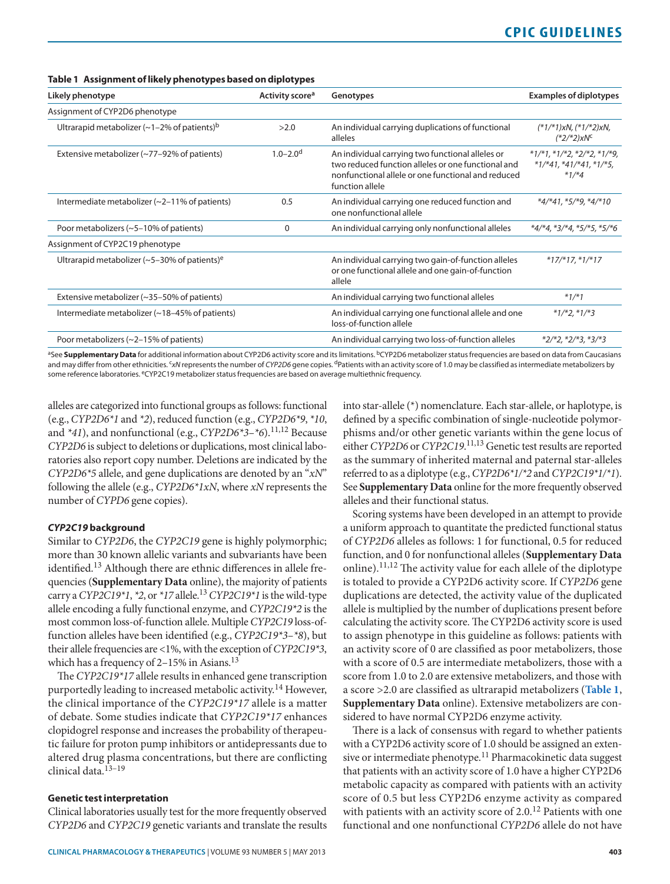<span id="page-1-0"></span>**Table 1 Assignment of likely phenotypes based on diplotypes**

| . .                                                             |                             |                                                                                                                                                                                 |                                                                  |
|-----------------------------------------------------------------|-----------------------------|---------------------------------------------------------------------------------------------------------------------------------------------------------------------------------|------------------------------------------------------------------|
| Likely phenotype                                                | Activity score <sup>a</sup> | Genotypes                                                                                                                                                                       | <b>Examples of diplotypes</b>                                    |
| Assignment of CYP2D6 phenotype                                  |                             |                                                                                                                                                                                 |                                                                  |
| Ultrarapid metabolizer ( $\sim$ 1–2% of patients) <sup>b</sup>  | >2.0                        | An individual carrying duplications of functional<br>alleles                                                                                                                    | $(*1/*1)xN, (*1/*2)xN,$<br>$(*2/*2)xN^c$                         |
| Extensive metabolizer (~77-92% of patients)                     | $1.0 - 2.0d$                | An individual carrying two functional alleles or<br>two reduced function alleles or one functional and<br>nonfunctional allele or one functional and reduced<br>function allele | $*1/*1,*1/*2,*2/*2,*1/*9,$<br>$*1/*41,*41/*41,*1/*5,$<br>$*1/*4$ |
| Intermediate metabolizer $(\sim 2 - 11\%$ of patients)          | 0.5                         | An individual carrying one reduced function and<br>one nonfunctional allele                                                                                                     | $*4/*41$ , $*5/*9$ , $*4/*10$                                    |
| Poor metabolizers (~5-10% of patients)                          | $\mathbf 0$                 | An individual carrying only nonfunctional alleles                                                                                                                               | $*4/*4$ , $*3/*4$ , $*5/*5$ , $*5/*6$                            |
| Assignment of CYP2C19 phenotype                                 |                             |                                                                                                                                                                                 |                                                                  |
| Ultrarapid metabolizer ( $\sim$ 5-30% of patients) <sup>e</sup> |                             | An individual carrying two gain-of-function alleles<br>or one functional allele and one gain-of-function<br>allele                                                              | $*17$ /*17, $*1$ /*17                                            |
| Extensive metabolizer (~35-50% of patients)                     |                             | An individual carrying two functional alleles                                                                                                                                   | $*1/*1$                                                          |
| Intermediate metabolizer $(\sim 18-45\%$ of patients)           |                             | An individual carrying one functional allele and one<br>loss-of-function allele                                                                                                 | $*1/*2, *1/*3$                                                   |
| Poor metabolizers (~2-15% of patients)                          |                             | An individual carrying two loss-of-function alleles                                                                                                                             | $*2/*2, *2/*3, *3/*3$                                            |
|                                                                 |                             |                                                                                                                                                                                 |                                                                  |

aSee Supplementary Data for additional information about CYP2D6 activity score and its limitations. <sup>b</sup>CYP2D6 metabolizer status frequencies are based on data from Caucasians and may differ from other ethnicities. <sup>c</sup>xN represents the number of *CYP2D6* gene copies. <sup>d</sup>Patients with an activity score of 1.0 may be classified as intermediate metabolizers by some reference laboratories. eCYP2C19 metabolizer status frequencies are based on average multiethnic frequency.

alleles are categorized into functional groups as follows: functional (e.g., *CYP2D6\*1* and *\*2*), reduced function (e.g., *CYP2D6\*9*, *\*10*, and *\*41*), and nonfunctional (e.g., *CYP2D6\*3*-*\*6*).<sup>11,12</sup> Because *CYP2D6* is subject to deletions or duplications, most clinical laboratories also report copy number. Deletions are indicated by the *CYP2D6\*5* allele, and gene duplications are denoted by an "*xN*" following the allele (e.g., *CYP2D6\*1xN*, where *xN* represents the number of *CYPD6* gene copies).

## *CYP2C19* **background**

Similar to *CYP2D6*, the *CYP2C19* gene is highly polymorphic; more than 30 known allelic variants and subvariants have been identified.<sup>13</sup> Although there are ethnic differences in allele frequencies (**Supplementary Data** online), the majority of patients carry a *CYP2C19\*1*, *\*2*, or *\*17* allele.13 *CYP2C19\*1* is the wild-type allele encoding a fully functional enzyme, and *CYP2C19\*2* is the most common loss-of-function allele. Multiple *CYP2C19* loss-offunction alleles have been identified (e.g., *CYP2C19\*3–\*8*), but their allele frequencies are <1%, with the exception of *CYP2C19\*3*, which has a frequency of  $2-15\%$  in Asians.<sup>13</sup>

The *CYP2C19\*17* allele results in enhanced gene transcription purportedly leading to increased metabolic activity.<sup>14</sup> However, the clinical importance of the *CYP2C19\*17* allele is a matter of debate. Some studies indicate that *CYP2C19\*17* enhances clopidogrel response and increases the probability of therapeutic failure for proton pump inhibitors or antidepressants due to altered drug plasma concentrations, but there are conflicting clinical data.<sup>13-19</sup>

## **Genetic test interpretation**

Clinical laboratories usually test for the more frequently observed *CYP2D6* and *CYP2C19* genetic variants and translate the results into star-allele (\*) nomenclature. Each star-allele, or haplotype, is defined by a specific combination of single-nucleotide polymorphisms and/or other genetic variants within the gene locus of either *CYP2D6* or *CYP2C19*. 11,13 Genetic test results are reported as the summary of inherited maternal and paternal star-alleles referred to as a diplotype (e.g., *CYP2D6\*1/\*2* and *CYP2C19\*1/\*1*). See **Supplementary Data** online for the more frequently observed alleles and their functional status.

Scoring systems have been developed in an attempt to provide a uniform approach to quantitate the predicted functional status of *CYP2D6* alleles as follows: 1 for functional, 0.5 for reduced function, and 0 for nonfunctional alleles (**Supplementary Data** online).<sup>11,12</sup> The activity value for each allele of the diplotype is totaled to provide a CYP2D6 activity score. If *CYP2D6* gene duplications are detected, the activity value of the duplicated allele is multiplied by the number of duplications present before calculating the activity score. The CYP2D6 activity score is used to assign phenotype in this guideline as follows: patients with an activity score of 0 are classified as poor metabolizers, those with a score of 0.5 are intermediate metabolizers, those with a score from 1.0 to 2.0 are extensive metabolizers, and those with a score >2.0 are classified as ultrarapid metabolizers (**Table 1**, **Supplementary Data** online). Extensive metabolizers are considered to have normal CYP2D6 enzyme activity.

There is a lack of consensus with regard to whether patients with a CYP2D6 activity score of 1.0 should be assigned an extensive or intermediate phenotype.<sup>11</sup> Pharmacokinetic data suggest that patients with an activity score of 1.0 have a higher CYP2D6 metabolic capacity as compared with patients with an activity score of 0.5 but less CYP2D6 enzyme activity as compared with patients with an activity score of 2.0.<sup>12</sup> Patients with one functional and one nonfunctional *CYP2D6* allele do not have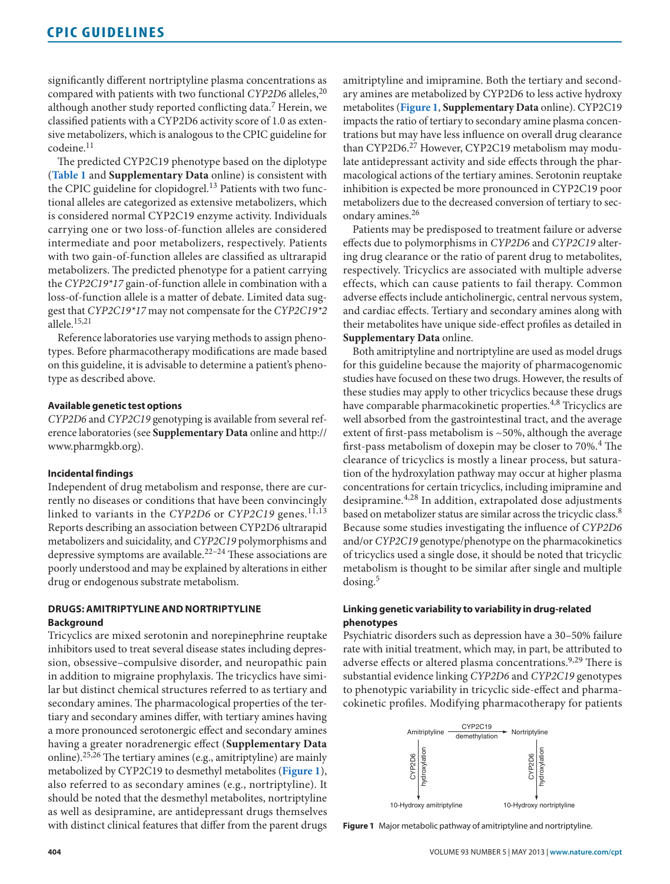significantly different nortriptyline plasma concentrations as compared with patients with two functional *CYP2D6* alleles,<sup>20</sup> although another study reported conflicting data.7 Herein, we classified patients with a CYP2D6 activity score of 1.0 as extensive metabolizers, which is analogous to the CPIC guideline for codeine.11

The predicted CYP2C19 phenotype based on the diplotype (**[Table 1](#page-1-0)** and **Supplementary Data** online) is consistent with the CPIC guideline for clopidogrel.<sup>13</sup> Patients with two functional alleles are categorized as extensive metabolizers, which is considered normal CYP2C19 enzyme activity. Individuals carrying one or two loss-of-function alleles are considered intermediate and poor metabolizers, respectively. Patients with two gain-of-function alleles are classified as ultrarapid metabolizers. The predicted phenotype for a patient carrying the *CYP2C19\*17* gain-of-function allele in combination with a loss-of-function allele is a matter of debate. Limited data suggest that *CYP2C19\*17* may not compensate for the *CYP2C19\*2* allele.15,21

Reference laboratories use varying methods to assign phenotypes. Before pharmacotherapy modifications are made based on this guideline, it is advisable to determine a patient's phenotype as described above.

#### **Available genetic test options**

*CYP2D6* and *CYP2C19* genotyping is available from several reference laboratories (see **Supplementary Data** online and http:// www.pharmgkb.org).

#### **Incidental findings**

Independent of drug metabolism and response, there are currently no diseases or conditions that have been convincingly linked to variants in the *CYP2D6* or *CYP2C19* genes.<sup>11,13</sup> Reports describing an association between CYP2D6 ultrarapid metabolizers and suicidality, and *CYP2C19* polymorphisms and depressive symptoms are available.22–24 These associations are poorly understood and may be explained by alterations in either drug or endogenous substrate metabolism.

# **DRUGS: AMITRIPTYLINE AND NORTRIPTYLINE Background**

Tricyclics are mixed serotonin and norepinephrine reuptake inhibitors used to treat several disease states including depression, obsessive–compulsive disorder, and neuropathic pain in addition to migraine prophylaxis. The tricyclics have similar but distinct chemical structures referred to as tertiary and secondary amines. The pharmacological properties of the tertiary and secondary amines differ, with tertiary amines having a more pronounced serotonergic effect and secondary amines having a greater noradrenergic effect (**Supplementary Data** online).25,26 The tertiary amines (e.g., amitriptyline) are mainly metabolized by CYP2C19 to desmethyl metabolites (**Figure 1**), also referred to as secondary amines (e.g., nortriptyline). It should be noted that the desmethyl metabolites, nortriptyline as well as desipramine, are antidepressant drugs themselves with distinct clinical features that differ from the parent drugs amitriptyline and imipramine. Both the tertiary and secondary amines are metabolized by CYP2D6 to less active hydroxy metabolites (**Figure 1**, **Supplementary Data** online). CYP2C19 impacts the ratio of tertiary to secondary amine plasma concentrations but may have less influence on overall drug clearance than CYP2D6.<sup>27</sup> However, CYP2C19 metabolism may modulate antidepressant activity and side effects through the pharmacological actions of the tertiary amines. Serotonin reuptake inhibition is expected be more pronounced in CYP2C19 poor metabolizers due to the decreased conversion of tertiary to secondary amines.<sup>26</sup>

Patients may be predisposed to treatment failure or adverse effects due to polymorphisms in *CYP2D6* and *CYP2C19* altering drug clearance or the ratio of parent drug to metabolites, respectively. Tricyclics are associated with multiple adverse effects, which can cause patients to fail therapy. Common adverse effects include anticholinergic, central nervous system, and cardiac effects. Tertiary and secondary amines along with their metabolites have unique side-effect profiles as detailed in **Supplementary Data** online.

Both amitriptyline and nortriptyline are used as model drugs for this guideline because the majority of pharmacogenomic studies have focused on these two drugs. However, the results of these studies may apply to other tricyclics because these drugs have comparable pharmacokinetic properties.<sup>4,8</sup> Tricyclics are well absorbed from the gastrointestinal tract, and the average extent of first-pass metabolism is  $\sim$  50%, although the average first-pass metabolism of doxepin may be closer to 70%.<sup>4</sup> The clearance of tricyclics is mostly a linear process, but saturation of the hydroxylation pathway may occur at higher plasma concentrations for certain tricyclics, including imipramine and desipramine.<sup>4,28</sup> In addition, extrapolated dose adjustments based on metabolizer status are similar across the tricyclic class.8 Because some studies investigating the influence of *CYP2D6* and/or *CYP2C19* genotype/phenotype on the pharmacokinetics of tricyclics used a single dose, it should be noted that tricyclic metabolism is thought to be similar after single and multiple dosing.5

## **Linking genetic variability to variability in drug-related phenotypes**

Psychiatric disorders such as depression have a 30–50% failure rate with initial treatment, which may, in part, be attributed to adverse effects or altered plasma concentrations.<sup>9,29</sup> There is substantial evidence linking *CYP2D6* and *CYP2C19* genotypes to phenotypic variability in tricyclic side-effect and pharmacokinetic profiles. Modifying pharmacotherapy for patients



**Figure 1** Major metabolic pathway of amitriptyline and nortriptyline.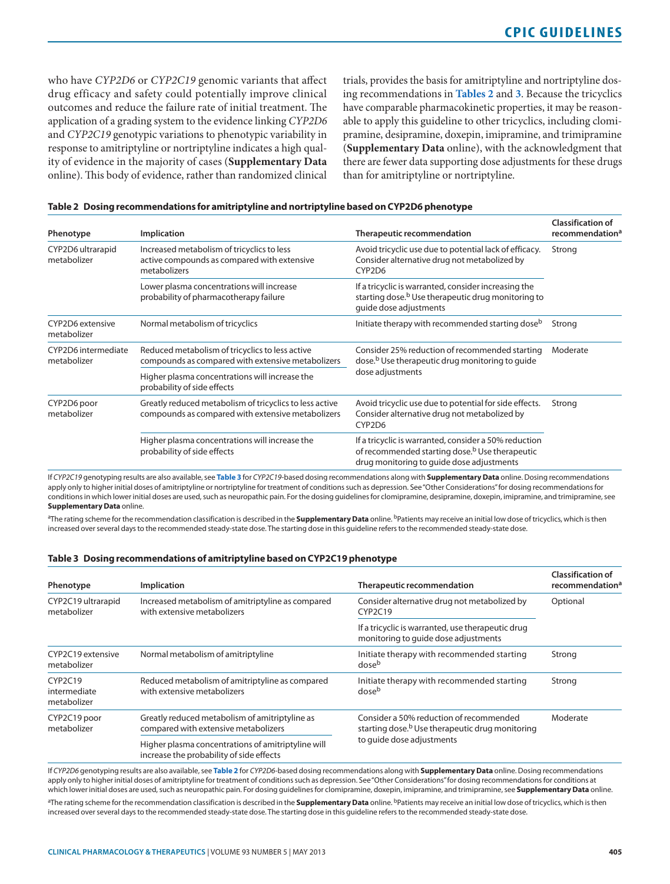<span id="page-3-0"></span>who have *CYP2D6* or *CYP2C19* genomic variants that affect drug efficacy and safety could potentially improve clinical outcomes and reduce the failure rate of initial treatment. The application of a grading system to the evidence linking *CYP2D6* and *CYP2C19* genotypic variations to phenotypic variability in response to amitriptyline or nortriptyline indicates a high quality of evidence in the majority of cases (**Supplementary Data** online). This body of evidence, rather than randomized clinical trials, provides the basis for amitriptyline and nortriptyline dosing recommendations in **Tables 2** and **3**. Because the tricyclics have comparable pharmacokinetic properties, it may be reasonable to apply this guideline to other tricyclics, including clomipramine, desipramine, doxepin, imipramine, and trimipramine (**Supplementary Data** online), with the acknowledgment that there are fewer data supporting dose adjustments for these drugs than for amitriptyline or nortriptyline.

| Phenotype                          | Implication                                                                                                  | Therapeutic recommendation                                                                                                                                       | <b>Classification of</b><br>recommendation <sup>a</sup> |  |
|------------------------------------|--------------------------------------------------------------------------------------------------------------|------------------------------------------------------------------------------------------------------------------------------------------------------------------|---------------------------------------------------------|--|
| CYP2D6 ultrarapid<br>metabolizer   | Increased metabolism of tricyclics to less<br>active compounds as compared with extensive<br>metabolizers    | Avoid tricyclic use due to potential lack of efficacy.<br>Consider alternative drug not metabolized by<br>CYP2D6                                                 | Strong                                                  |  |
|                                    | Lower plasma concentrations will increase<br>probability of pharmacotherapy failure                          | If a tricyclic is warranted, consider increasing the<br>starting dose. <sup>b</sup> Use therapeutic drug monitoring to<br>quide dose adjustments                 |                                                         |  |
| CYP2D6 extensive<br>metabolizer    | Normal metabolism of tricyclics                                                                              | Initiate therapy with recommended starting dose <sup>b</sup>                                                                                                     | Strong                                                  |  |
| CYP2D6 intermediate<br>metabolizer | Reduced metabolism of tricyclics to less active<br>compounds as compared with extensive metabolizers         | Consider 25% reduction of recommended starting<br>dose. <sup>b</sup> Use therapeutic drug monitoring to quide                                                    | Moderate                                                |  |
|                                    | Higher plasma concentrations will increase the<br>probability of side effects                                | dose adjustments                                                                                                                                                 |                                                         |  |
| CYP2D6 poor<br>metabolizer         | Greatly reduced metabolism of tricyclics to less active<br>compounds as compared with extensive metabolizers | Avoid tricyclic use due to potential for side effects.<br>Consider alternative drug not metabolized by<br>CYP2D6                                                 | Strong                                                  |  |
|                                    | Higher plasma concentrations will increase the<br>probability of side effects                                | If a tricyclic is warranted, consider a 50% reduction<br>of recommended starting dose. <sup>b</sup> Use therapeutic<br>drug monitoring to guide dose adjustments |                                                         |  |

#### **Table 2 Dosing recommendations for amitriptyline and nortriptyline based on CYP2D6 phenotype**

If *CYP2C19* genotyping results are also available, see **Table 3** for *CYP2C19*-based dosing recommendations along with **Supplementary Data** online. Dosing recommendations apply only to higher initial doses of amitriptyline or nortriptyline for treatment of conditions such as depression. See "Other Considerations" for dosing recommendations for conditions in which lower initial doses are used, such as neuropathic pain. For the dosing guidelines for clomipramine, desipramine, doxepin, imipramine, and trimipramine, see **Supplementary Data** online.

a The rating scheme for the recommendation classification is described in the **Supplementary Data** online. bPatients may receive an initial low dose of tricyclics, which is then increased over several days to the recommended steady-state dose. The starting dose in this guideline refers to the recommended steady-state dose.

#### **Table 3 Dosing recommendations of amitriptyline based on CYP2C19 phenotype**

| Phenotype                              | Implication                                                                                    | Therapeutic recommendation                                                                             | <b>Classification of</b><br>recommendation <sup>a</sup> |
|----------------------------------------|------------------------------------------------------------------------------------------------|--------------------------------------------------------------------------------------------------------|---------------------------------------------------------|
| CYP2C19 ultrarapid<br>metabolizer      | Increased metabolism of amitriptyline as compared<br>with extensive metabolizers               | Consider alternative drug not metabolized by<br>CYP2C19                                                | Optional                                                |
|                                        |                                                                                                | If a tricyclic is warranted, use therapeutic drug<br>monitoring to guide dose adjustments              |                                                         |
| CYP2C19 extensive<br>metabolizer       | Normal metabolism of amitriptyline                                                             | Initiate therapy with recommended starting<br>dose <sup>b</sup>                                        | Strong                                                  |
| CYP2C19<br>intermediate<br>metabolizer | Reduced metabolism of amitriptyline as compared<br>with extensive metabolizers                 | Initiate therapy with recommended starting<br>dose <sup>b</sup>                                        | Strong                                                  |
| CYP2C19 poor<br>metabolizer            | Greatly reduced metabolism of amitriptyline as<br>compared with extensive metabolizers         | Consider a 50% reduction of recommended<br>starting dose. <sup>b</sup> Use therapeutic drug monitoring | Moderate                                                |
|                                        | Higher plasma concentrations of amitriptyline will<br>increase the probability of side effects | to quide dose adjustments                                                                              |                                                         |

If *CYP2D6* genotyping results are also available, see **Table 2** for *CYP2D6*-based dosing recommendations along with **Supplementary Data** online. Dosing recommendations apply only to higher initial doses of amitriptyline for treatment of conditions such as depression. See "Other Considerations" for dosing recommendations for conditions at which lower initial doses are used, such as neuropathic pain. For dosing guidelines for clomipramine, doxepin, imipramine, and trimipramine, see **Supplementary Data** online. a The rating scheme for the recommendation classification is described in the **Supplementary Data** online. bPatients may receive an initial low dose of tricyclics, which is then increased over several days to the recommended steady-state dose. The starting dose in this guideline refers to the recommended steady-state dose.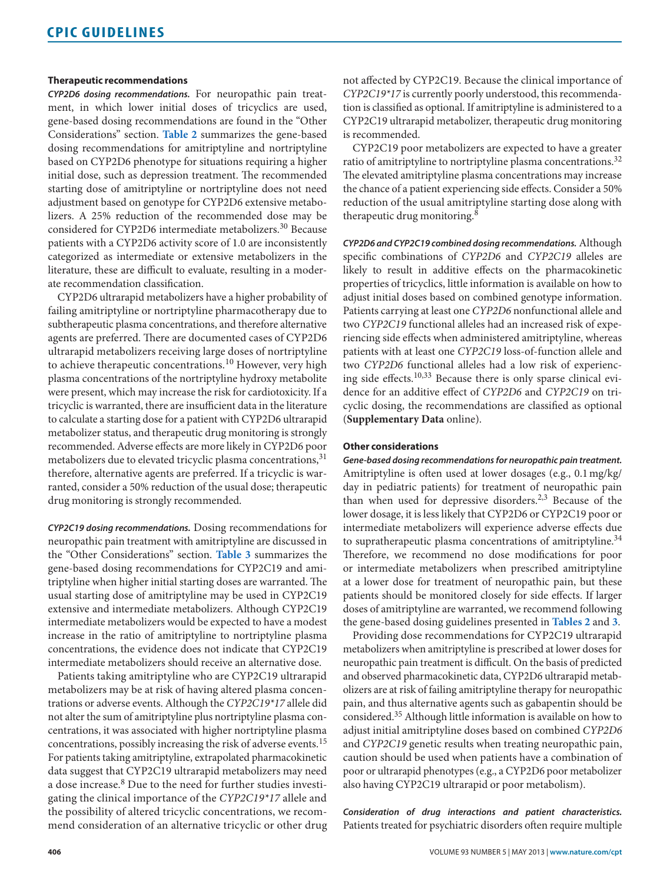## **Therapeutic recommendations**

*CYP2D6 dosing recommendations.* For neuropathic pain treatment, in which lower initial doses of tricyclics are used, gene-based dosing recommendations are found in the "Other considerations" section. **[Table 2](#page-3-0)** summarizes the gene-based dosing recommendations for amitriptyline and nortriptyline based on CYP2D6 phenotype for situations requiring a higher initial dose, such as depression treatment. The recommended starting dose of amitriptyline or nortriptyline does not need adjustment based on genotype for CYP2D6 extensive metabolizers. A 25% reduction of the recommended dose may be considered for CYP2D6 intermediate metabolizers.<sup>30</sup> Because patients with a CYP2D6 activity score of 1.0 are inconsistently categorized as intermediate or extensive metabolizers in the literature, these are difficult to evaluate, resulting in a moderate recommendation classification.

CYP2D6 ultrarapid metabolizers have a higher probability of failing amitriptyline or nortriptyline pharmacotherapy due to subtherapeutic plasma concentrations, and therefore alternative agents are preferred. There are documented cases of CYP2D6 ultrarapid metabolizers receiving large doses of nortriptyline to achieve therapeutic concentrations.10 However, very high plasma concentrations of the nortriptyline hydroxy metabolite were present, which may increase the risk for cardiotoxicity. If a tricyclic is warranted, there are insufficient data in the literature to calculate a starting dose for a patient with CYP2D6 ultrarapid metabolizer status, and therapeutic drug monitoring is strongly recommended. Adverse effects are more likely in CYP2D6 poor metabolizers due to elevated tricyclic plasma concentrations,<sup>31</sup> therefore, alternative agents are preferred. If a tricyclic is warranted, consider a 50% reduction of the usual dose; therapeutic drug monitoring is strongly recommended.

*CYP2C19 dosing recommendations.* Dosing recommendations for neuropathic pain treatment with amitriptyline are discussed in the "Other considerations" section. **[Table 3](#page-3-0)** summarizes the gene-based dosing recommendations for CYP2C19 and amitriptyline when higher initial starting doses are warranted. The usual starting dose of amitriptyline may be used in CYP2C19 extensive and intermediate metabolizers. Although CYP2C19 intermediate metabolizers would be expected to have a modest increase in the ratio of amitriptyline to nortriptyline plasma concentrations, the evidence does not indicate that CYP2C19 intermediate metabolizers should receive an alternative dose.

Patients taking amitriptyline who are CYP2C19 ultrarapid metabolizers may be at risk of having altered plasma concentrations or adverse events. Although the *CYP2C19\*17* allele did not alter the sum of amitriptyline plus nortriptyline plasma concentrations, it was associated with higher nortriptyline plasma concentrations, possibly increasing the risk of adverse events.<sup>15</sup> For patients taking amitriptyline, extrapolated pharmacokinetic data suggest that CYP2C19 ultrarapid metabolizers may need a dose increase.8 Due to the need for further studies investigating the clinical importance of the *CYP2C19\*17* allele and the possibility of altered tricyclic concentrations, we recommend consideration of an alternative tricyclic or other drug not affected by CYP2C19. Because the clinical importance of *CYP2C19\*17* is currently poorly understood, this recommendation is classified as optional. If amitriptyline is administered to a CYP2C19 ultrarapid metabolizer, therapeutic drug monitoring is recommended.

CYP2C19 poor metabolizers are expected to have a greater ratio of amitriptyline to nortriptyline plasma concentrations.<sup>32</sup> The elevated amitriptyline plasma concentrations may increase the chance of a patient experiencing side effects. Consider a 50% reduction of the usual amitriptyline starting dose along with therapeutic drug monitoring.<sup>8</sup>

*CYP2D6 and CYP2C19 combined dosing recommendations.* Although specific combinations of *CYP2D6* and *CYP2C19* alleles are likely to result in additive effects on the pharmacokinetic properties of tricyclics, little information is available on how to adjust initial doses based on combined genotype information. Patients carrying at least one *CYP2D6* nonfunctional allele and two *CYP2C19* functional alleles had an increased risk of experiencing side effects when administered amitriptyline, whereas patients with at least one *CYP2C19* loss-of-function allele and two *CYP2D6* functional alleles had a low risk of experiencing side effects.10,33 Because there is only sparse clinical evidence for an additive effect of *CYP2D6* and *CYP2C19* on tricyclic dosing, the recommendations are classified as optional (**Supplementary Data** online).

#### **Other considerations**

*Gene-based dosing recommendations for neuropathic pain treatment.* A[mitripty](#page-3-0)line is often used at lower dosages (e.g., 0.1mg/kg/ day in pediatric patients) for treatment of neuropathic pain than when used for depressive disorders.<sup>2,3</sup> Because of the lower dosage, it is less likely that CYP2D6 or CYP2C19 poor or intermediate metabolizers will experience adverse effects due to supratherapeutic plasma concentrations of amitriptyline.<sup>34</sup> Therefore, we recommend no dose modifications for poor or intermediate metabolizers when prescribed amitriptyline at a lower dose for treatment of neuropathic pain, but these patients should be monitored closely for side effects. If larger doses of amitriptyline are warranted, we recommend following the gene-based dosing guidelines presented in **[Tables 2](#page-3-0)** and **[3](#page-3-0)**.

Providing dose recommendations for CYP2C19 ultrarapid metabolizers when amitriptyline is prescribed at lower doses for neuropathic pain treatment is difficult. On the basis of predicted and observed pharmacokinetic data, CYP2D6 ultrarapid metabolizers are at risk of failing amitriptyline therapy for neuropathic pain, and thus alternative agents such as gabapentin should be considered.35 Although little information is available on how to adjust initial amitriptyline doses based on combined *CYP2D6* and *CYP2C19* genetic results when treating neuropathic pain, caution should be used when patients have a combination of poor or ultrarapid phenotypes (e.g., a CYP2D6 poor metabolizer also having CYP2C19 ultrarapid or poor metabolism).

*Consideration of drug interactions and patient characteristics.* Patients treated for psychiatric disorders often require multiple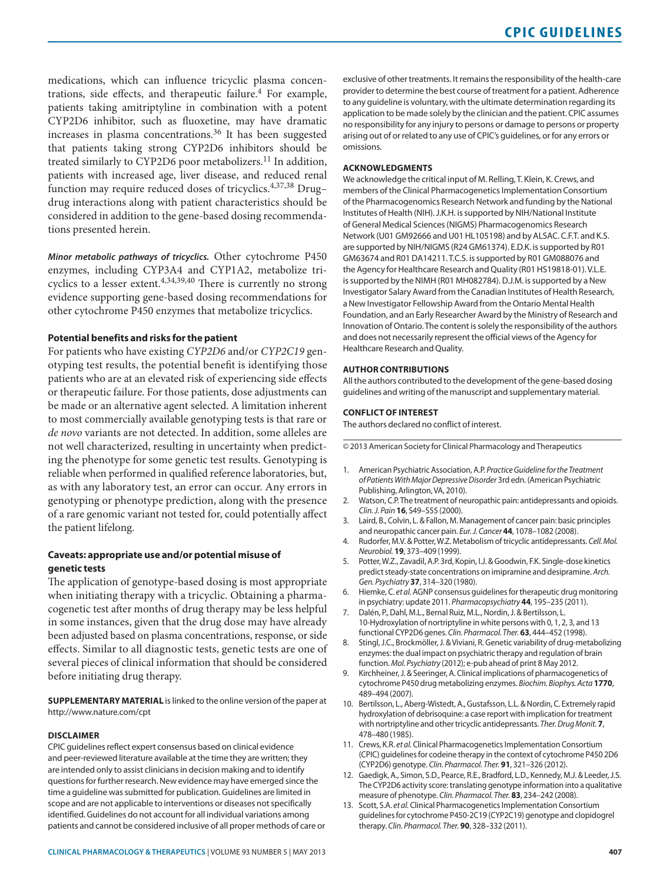medications, which can influence tricyclic plasma concentrations, side effects, and therapeutic failure. $4$  For example, patients taking amitriptyline in combination with a potent CYP2D6 inhibitor, such as fluoxetine, may have dramatic increases in plasma concentrations.<sup>36</sup> It has been suggested that patients taking strong CYP2D6 inhibitors should be treated similarly to CYP2D6 poor metabolizers.<sup>11</sup> In addition, patients with increased age, liver disease, and reduced renal function may require reduced doses of tricyclics.4,37,38 Drug– drug interactions along with patient characteristics should be considered in addition to the gene-based dosing recommendations presented herein.

*Minor metabolic pathways of tricyclics.* Other cytochrome P450 enzymes, including CYP3A4 and CYP1A2, metabolize tricyclics to a lesser extent.<sup>4,34,39,40</sup> There is currently no strong evidence supporting gene-based dosing recommendations for other cytochrome P450 enzymes that metabolize tricyclics.

## **Potential benefits and risks for the patient**

For patients who have existing *CYP2D6* and/or *CYP2C19* genotyping test results, the potential benefit is identifying those patients who are at an elevated risk of experiencing side effects or therapeutic failure. For those patients, dose adjustments can be made or an alternative agent selected. A limitation inherent to most commercially available genotyping tests is that rare or *de novo* variants are not detected. In addition, some alleles are not well characterized, resulting in uncertainty when predicting the phenotype for some genetic test results. Genotyping is reliable when performed in qualified reference laboratories, but, as with any laboratory test, an error can occur. Any errors in genotyping or phenotype prediction, along with the presence of a rare genomic variant not tested for, could potentially affect the patient lifelong.

## **Caveats: appropriate use and/or potential misuse of genetic tests**

The application of genotype-based dosing is most appropriate when initiating therapy with a tricyclic. Obtaining a pharmacogenetic test after months of drug therapy may be less helpful in some instances, given that the drug dose may have already been adjusted based on plasma concentrations, response, or side effects. Similar to all diagnostic tests, genetic tests are one of several pieces of clinical information that should be considered before initiating drug therapy.

**SUPPLEMENTARY MATERIAL** is linked to the online version of the paper at http://www.nature.com/cpt

#### **DISCLAIMER**

CPIC guidelines reflect expert consensus based on clinical evidence and peer-reviewed literature available at the time they are written; they are intended only to assist clinicians in decision making and to identify questions for further research. New evidence may have emerged since the time a guideline was submitted for publication. Guidelines are limited in scope and are not applicable to interventions or diseases not specifically identified. Guidelines do not account for all individual variations among patients and cannot be considered inclusive of all proper methods of care or

exclusive of other treatments. It remains the responsibility of the health-care provider to determine the best course of treatment for a patient. Adherence to any guideline is voluntary, with the ultimate determination regarding its application to be made solely by the clinician and the patient. CPIC assumes no responsibility for any injury to persons or damage to persons or property arising out of or related to any use of CPIC's guidelines, or for any errors or omissions.

#### **ACKNOWLEDGMENTS**

We acknowledge the critical input of M. Relling, T. Klein, K. Crews, and members of the Clinical Pharmacogenetics Implementation Consortium of the Pharmacogenomics Research Network and funding by the National Institutes of Health (NIH). J.K.H. is supported by NIH/National Institute of General Medical Sciences (NIGMS) Pharmacogenomics Research Network (U01 GM92666 and U01 HL105198) and by ALSAC. C.F.T. and K.S. are supported by NIH/NIGMS (R24 GM61374). E.D.K. is supported by R01 GM63674 and R01 DA14211. T.C.S. is supported by R01 GM088076 and the Agency for Healthcare Research and Quality (R01 HS19818-01). V.L.E. is supported by the NIMH (R01 MH082784). D.J.M. is supported by a New Investigator Salary Award from the Canadian Institutes of Health Research, a New Investigator Fellowship Award from the Ontario Mental Health Foundation, and an Early Researcher Award by the Ministry of Research and Innovation of Ontario. The content is solely the responsibility of the authors and does not necessarily represent the official views of the Agency for Healthcare Research and Quality.

#### **AUTHOR CONTRIBUTIONS**

All the authors contributed to the development of the gene-based dosing guidelines and writing of the manuscript and supplementary material.

#### **CONFLICT OF INTEREST**

The authors declared no conflict of interest.

© 2013 American Society for Clinical Pharmacology and Therapeutics

- 1. American Psychiatric Association, A.P. *Practice Guideline for the Treatment of Patients With Major Depressive Disorder* 3rd edn. (American Psychiatric Publishing, Arlington, VA, 2010).
- 2. Watson, C.P. The treatment of neuropathic pain: antidepressants and opioids. *Clin. J. Pain* **16**, S49–S55 (2000).
- 3. Laird, B., Colvin, L. & Fallon, M. Management of cancer pain: basic principles and neuropathic cancer pain. *Eur. J. Cancer* **44**, 1078–1082 (2008).
- 4. Rudorfer, M.V. & Potter, W.Z. Metabolism of tricyclic antidepressants. *Cell. Mol. Neurobiol.* **19**, 373–409 (1999).
- 5. Potter, W.Z., Zavadil, A.P. 3rd, Kopin, I.J. & Goodwin, F.K. Single-dose kinetics predict steady-state concentrations on imipramine and desipramine. *Arch. Gen. Psychiatry* **37**, 314–320 (1980).
- 6. Hiemke, C. *et al.* AGNP consensus guidelines for therapeutic drug monitoring in psychiatry: update 2011. *Pharmacopsychiatry* **44**, 195–235 (2011).
- 7. Dalén, P., Dahl, M.L., Bernal Ruiz, M.L., Nordin, J. & Bertilsson, L. 10-Hydroxylation of nortriptyline in white persons with 0, 1, 2, 3, and 13 functional CYP2D6 genes. *Clin. Pharmacol. Ther.* **63**, 444–452 (1998).
- 8. Stingl, J.C., Brockmöller, J. & Viviani, R. Genetic variability of drug-metabolizing enzymes: the dual impact on psychiatric therapy and regulation of brain function. *Mol. Psychiatry* (2012); e-pub ahead of print 8 May 2012.
- 9. Kirchheiner, J. & Seeringer, A. Clinical implications of pharmacogenetics of cytochrome P450 drug metabolizing enzymes. *Biochim. Biophys. Acta* **1770**, 489–494 (2007).
- 10. Bertilsson, L., Aberg-Wistedt, A., Gustafsson, L.L. & Nordin, C. Extremely rapid hydroxylation of debrisoquine: a case report with implication for treatment with nortriptyline and other tricyclic antidepressants. *Ther. Drug Monit.* **7**, 478–480 (1985).
- 11. Crews, K.R. *et al.* Clinical Pharmacogenetics Implementation Consortium (CPIC) guidelines for codeine therapy in the context of cytochrome P450 2D6 (CYP2D6) genotype. *Clin. Pharmacol. Ther.* **91**, 321–326 (2012).
- 12. Gaedigk, A., Simon, S.D., Pearce, R.E., Bradford, L.D., Kennedy, M.J. & Leeder, J.S. The CYP2D6 activity score: translating genotype information into a qualitative measure of phenotype. *Clin. Pharmacol. Ther.* **83**, 234–242 (2008).
- 13. Scott, S.A. *et al.* Clinical Pharmacogenetics Implementation Consortium guidelines for cytochrome P450-2C19 (CYP2C19) genotype and clopidogrel therapy. *Clin. Pharmacol. Ther.* **90**, 328–332 (2011).